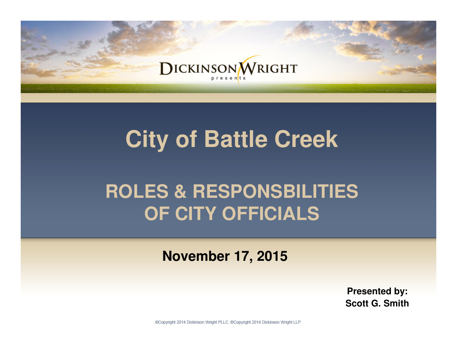

# **City of Battle Creek**

# **ROLES & RESPONSBILITIES OF CITY OFFICIALS**

**November 17, 2015**

**Presented by: Scott G. Smith**

@Copyright 2014 Dickinson Wright PLLC. @Copyright 2014 Dickinson Wright LLP.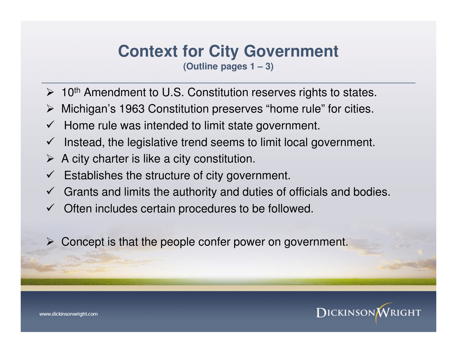### **Context for City Government**

**(Outline pages 1 – 3)**

- $\geq 10$ <sup>th</sup> Amendment to U.S. Constitution reserves rights to states.
- Michigan's 1963 Constitution preserves "home rule" for cities.
- $\checkmark$  Home rule was intended to limit state government.
- $\checkmark$  Instead, the legislative trend seems to limit local government.
- $\triangleright$  A city charter is like a city constitution.
- $\checkmark$  Establishes the structure of city government.
- $\checkmark$  Grants and limits the authority and duties of officials and bodies.
- $\checkmark$  Often includes certain procedures to be followed.
- $\triangleright$  Concept is that the people confer power on government.

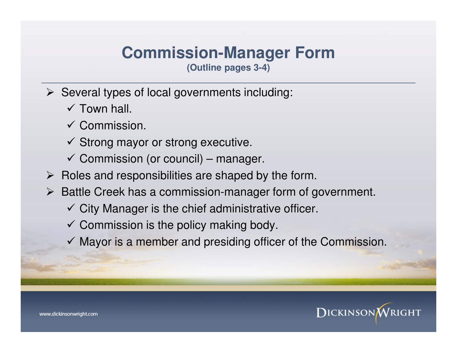# **Commission-Manager Form**

**(Outline pages 3-4)**

- $\triangleright$  Several types of local governments including:
	- $\checkmark$  Town hall.
	- $\checkmark$  Commission.
	- $\checkmark$  Strong mayor or strong executive.
	- $\checkmark$  Commission (or council) manager.
- $\triangleright$  Roles and responsibilities are shaped by the form.
- $\triangleright$  Battle Creek has a commission-manager form of government.
	- $\checkmark$  City Manager is the chief administrative officer.
	- $\checkmark$  Commission is the policy making body.
	- $\checkmark$  Mayor is a member and presiding officer of the Commission.

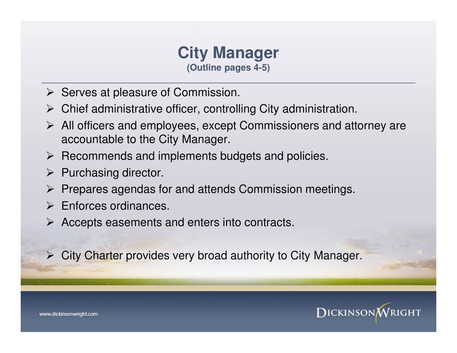#### **City Manager (Outline pages 4-5)**

- $\triangleright$  Serves at pleasure of Commission.
- $\triangleright$  Chief administrative officer, controlling City administration.
- $\triangleright$  All officers and employees, except Commissioners and attorney are accountable to the City Manager.
- $\triangleright$  Recommends and implements budgets and policies.
- $\triangleright$  Purchasing director.
- $\triangleright$  Prepares agendas for and attends Commission meetings.
- $\triangleright$  Enforces ordinances.
- $\triangleright$  Accepts easements and enters into contracts.
- $\triangleright$  City Charter provides very broad authority to City Manager.



www.dickinsonwright.com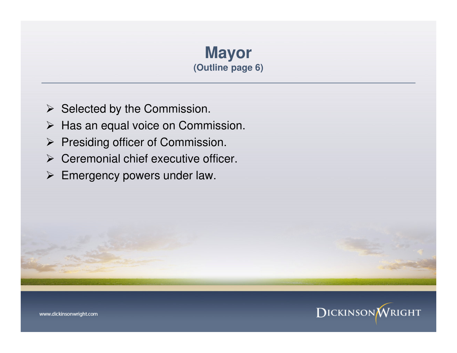### **Mayor (Outline page 6)**

- $\triangleright$  Selected by the Commission.
- $\triangleright$  Has an equal voice on Commission.
- $\triangleright$  Presiding officer of Commission.
- $\triangleright$  Ceremonial chief executive officer.
- ▶ Emergency powers under law.

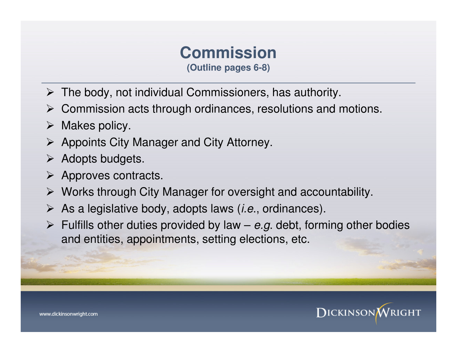# **Commission**

**(Outline pages 6-8)**

- $\triangleright$  The body, not individual Commissioners, has authority.
- $\triangleright$  Commission acts through ordinances, resolutions and motions.
- $\triangleright$  Makes policy.
- $\triangleright$  Appoints City Manager and City Attorney.
- $\triangleright$  Adopts budgets.
- $\triangleright$  Approves contracts.
- $\triangleright$  Works through City Manager for oversight and accountability.
- $\triangleright$  As a legislative body, adopts laws (*i.e.*, ordinances).
- $\triangleright$  Fulfills other duties provided by law e.g. debt, forming other bodies and entities, appointments, setting elections, etc.



www.dickinsonwright.com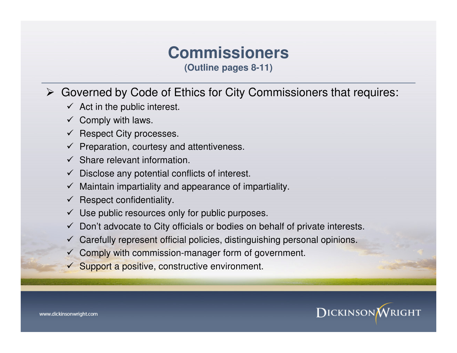# **Commissioners**

**(Outline pages 8-11)**

#### Governed by Code of Ethics for City Commissioners that requires:

- $\checkmark$  Act in the public interest.
- $\checkmark$  Comply with laws.
- $\checkmark$  Respect City processes.
- $\checkmark$  Preparation, courtesy and attentiveness.
- $\checkmark$  Share relevant information.
- $\checkmark$  Disclose any potential conflicts of interest.
- $\checkmark$  Maintain impartiality and appearance of impartiality.
- $\checkmark$  Respect confidentiality.
- $\checkmark$  Use public resources only for public purposes.
- $\checkmark$  Don't advocate to City officials or bodies on behalf of private interests.
- $\checkmark$  Carefully represent official policies, distinguishing personal opinions.
- $\checkmark$  Comply with commission-manager form of government.
- $\checkmark$  Support a positive, constructive environment.



www.dickinsonwright.com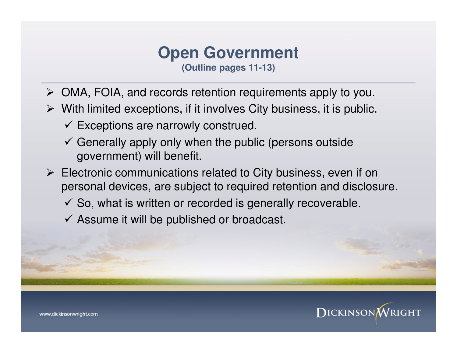# **Open Government**

**(Outline pages 11-13)**

- OMA, FOIA, and records retention requirements apply to you.
- $\triangleright$  With limited exceptions, if it involves City business, it is public.
	- $\checkmark$  Exceptions are narrowly construed.
	- $\checkmark$  Generally apply only when the public (persons outside government) will benefit.
- $\triangleright$  Electronic communications related to City business, even if on personal devices, are subject to required retention and disclosure.
	- $\checkmark$  So, what is written or recorded is generally recoverable.
	- $\checkmark$  Assume it will be published or broadcast.

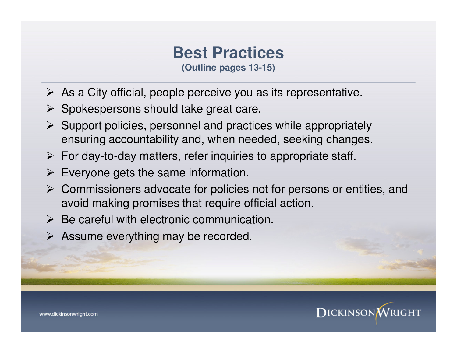### **Best Practices**

**(Outline pages 13-15)**

- $\triangleright$  As a City official, people perceive you as its representative.
- $\triangleright$  Spokespersons should take great care.
- $\triangleright$  Support policies, personnel and practices while appropriately ensuring accountability and, when needed, seeking changes.
- $\triangleright$  For day-to-day matters, refer inquiries to appropriate staff.
- $\triangleright$  Everyone gets the same information.
- $\triangleright$  Commissioners advocate for policies not for persons or entities, and avoid making promises that require official action.
- $\triangleright$  Be careful with electronic communication.
- $\triangleright$  Assume everything may be recorded.